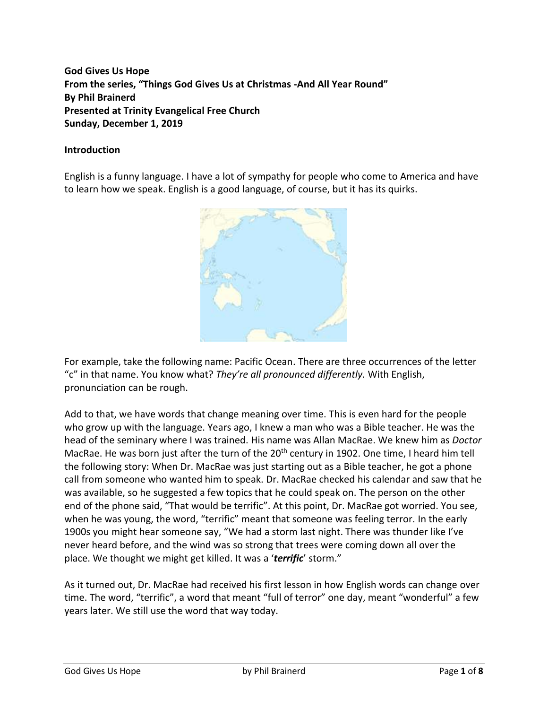**God Gives Us Hope From the series, "Things God Gives Us at Christmas -And All Year Round" By Phil Brainerd Presented at Trinity Evangelical Free Church Sunday, December 1, 2019**

#### **Introduction**

English is a funny language. I have a lot of sympathy for people who come to America and have to learn how we speak. English is a good language, of course, but it has its quirks.



For example, take the following name: Pacific Ocean. There are three occurrences of the letter "c" in that name. You know what? *They're all pronounced differently.* With English, pronunciation can be rough.

Add to that, we have words that change meaning over time. This is even hard for the people who grow up with the language. Years ago, I knew a man who was a Bible teacher. He was the head of the seminary where I was trained. His name was Allan MacRae. We knew him as *Doctor* MacRae. He was born just after the turn of the 20<sup>th</sup> century in 1902. One time, I heard him tell the following story: When Dr. MacRae was just starting out as a Bible teacher, he got a phone call from someone who wanted him to speak. Dr. MacRae checked his calendar and saw that he was available, so he suggested a few topics that he could speak on. The person on the other end of the phone said, "That would be terrific". At this point, Dr. MacRae got worried. You see, when he was young, the word, "terrific" meant that someone was feeling terror. In the early 1900s you might hear someone say, "We had a storm last night. There was thunder like I've never heard before, and the wind was so strong that trees were coming down all over the place. We thought we might get killed. It was a '*terrific*' storm."

As it turned out, Dr. MacRae had received his first lesson in how English words can change over time. The word, "terrific", a word that meant "full of terror" one day, meant "wonderful" a few years later. We still use the word that way today.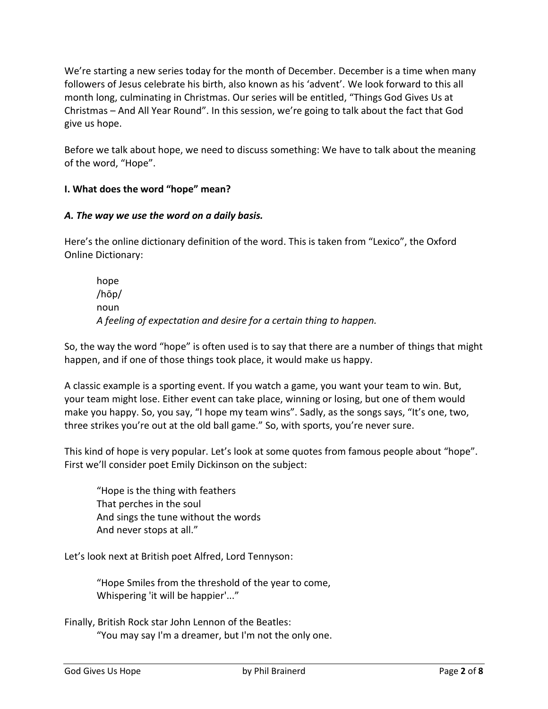We're starting a new series today for the month of December. December is a time when many followers of Jesus celebrate his birth, also known as his 'advent'. We look forward to this all month long, culminating in Christmas. Our series will be entitled, "Things God Gives Us at Christmas – And All Year Round". In this session, we're going to talk about the fact that God give us hope.

Before we talk about hope, we need to discuss something: We have to talk about the meaning of the word, "Hope".

# **I. What does the word "hope" mean?**

#### *A. The way we use the word on a daily basis.*

Here's the online dictionary definition of the word. This is taken from "Lexico", the Oxford Online Dictionary:

hope /hōp/ noun *A feeling of expectation and desire for a certain thing to happen.*

So, the way the word "hope" is often used is to say that there are a number of things that might happen, and if one of those things took place, it would make us happy.

A classic example is a sporting event. If you watch a game, you want your team to win. But, your team might lose. Either event can take place, winning or losing, but one of them would make you happy. So, you say, "I hope my team wins". Sadly, as the songs says, "It's one, two, three strikes you're out at the old ball game." So, with sports, you're never sure.

This kind of hope is very popular. Let's look at some quotes from famous people about "hope". First we'll consider poet Emily Dickinson on the subject:

"Hope is the thing with feathers That perches in the soul And sings the tune without the words And never stops at all."

Let's look next at British poet Alfred, Lord Tennyson:

"Hope Smiles from the threshold of the year to come, Whispering 'it will be happier'..."

Finally, British Rock star John Lennon of the Beatles: "You may say I'm a dreamer, but I'm not the only one.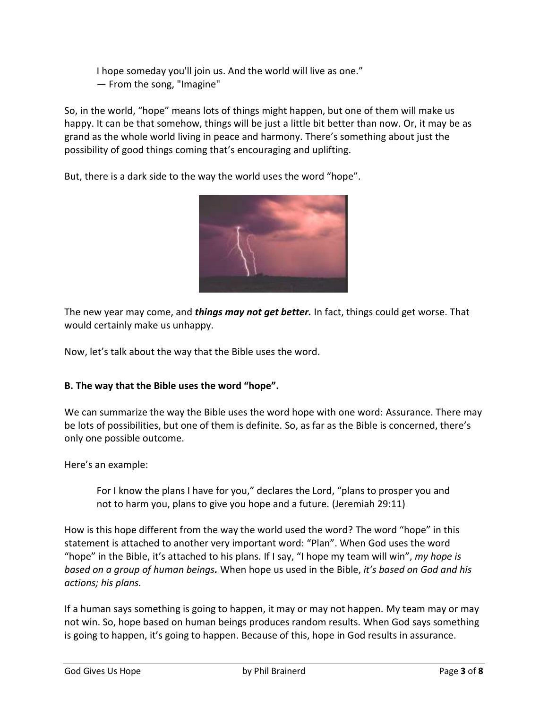I hope someday you'll join us. And the world will live as one." ― From the song, "Imagine"

So, in the world, "hope" means lots of things might happen, but one of them will make us happy. It can be that somehow, things will be just a little bit better than now. Or, it may be as grand as the whole world living in peace and harmony. There's something about just the possibility of good things coming that's encouraging and uplifting.

But, there is a dark side to the way the world uses the word "hope".



The new year may come, and *things may not get better.* In fact, things could get worse. That would certainly make us unhappy.

Now, let's talk about the way that the Bible uses the word.

# **B. The way that the Bible uses the word "hope".**

We can summarize the way the Bible uses the word hope with one word: Assurance. There may be lots of possibilities, but one of them is definite. So, as far as the Bible is concerned, there's only one possible outcome.

Here's an example:

For I know the plans I have for you," declares the Lord, "plans to prosper you and not to harm you, plans to give you hope and a future. (Jeremiah 29:11)

How is this hope different from the way the world used the word? The word "hope" in this statement is attached to another very important word: "Plan". When God uses the word "hope" in the Bible, it's attached to his plans. If I say, "I hope my team will win", *my hope is based on a group of human beings.* When hope us used in the Bible, *it's based on God and his actions; his plans.*

If a human says something is going to happen, it may or may not happen. My team may or may not win. So, hope based on human beings produces random results. When God says something is going to happen, it's going to happen. Because of this, hope in God results in assurance.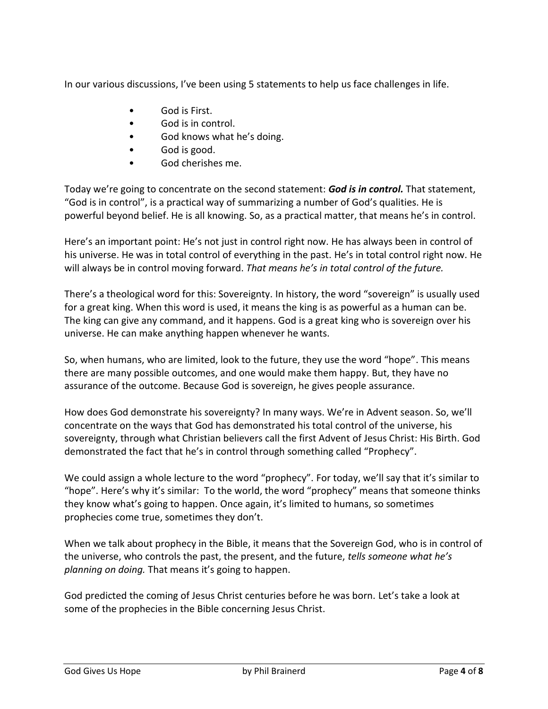In our various discussions, I've been using 5 statements to help us face challenges in life.

- God is First.
- God is in control.
- God knows what he's doing.
- God is good.
- God cherishes me.

Today we're going to concentrate on the second statement: *God is in control.* That statement, "God is in control", is a practical way of summarizing a number of God's qualities. He is powerful beyond belief. He is all knowing. So, as a practical matter, that means he's in control.

Here's an important point: He's not just in control right now. He has always been in control of his universe. He was in total control of everything in the past. He's in total control right now. He will always be in control moving forward. *That means he's in total control of the future.*

There's a theological word for this: Sovereignty. In history, the word "sovereign" is usually used for a great king. When this word is used, it means the king is as powerful as a human can be. The king can give any command, and it happens. God is a great king who is sovereign over his universe. He can make anything happen whenever he wants.

So, when humans, who are limited, look to the future, they use the word "hope". This means there are many possible outcomes, and one would make them happy. But, they have no assurance of the outcome. Because God is sovereign, he gives people assurance.

How does God demonstrate his sovereignty? In many ways. We're in Advent season. So, we'll concentrate on the ways that God has demonstrated his total control of the universe, his sovereignty, through what Christian believers call the first Advent of Jesus Christ: His Birth. God demonstrated the fact that he's in control through something called "Prophecy".

We could assign a whole lecture to the word "prophecy". For today, we'll say that it's similar to "hope". Here's why it's similar: To the world, the word "prophecy" means that someone thinks they know what's going to happen. Once again, it's limited to humans, so sometimes prophecies come true, sometimes they don't.

When we talk about prophecy in the Bible, it means that the Sovereign God, who is in control of the universe, who controls the past, the present, and the future, *tells someone what he's planning on doing.* That means it's going to happen.

God predicted the coming of Jesus Christ centuries before he was born. Let's take a look at some of the prophecies in the Bible concerning Jesus Christ.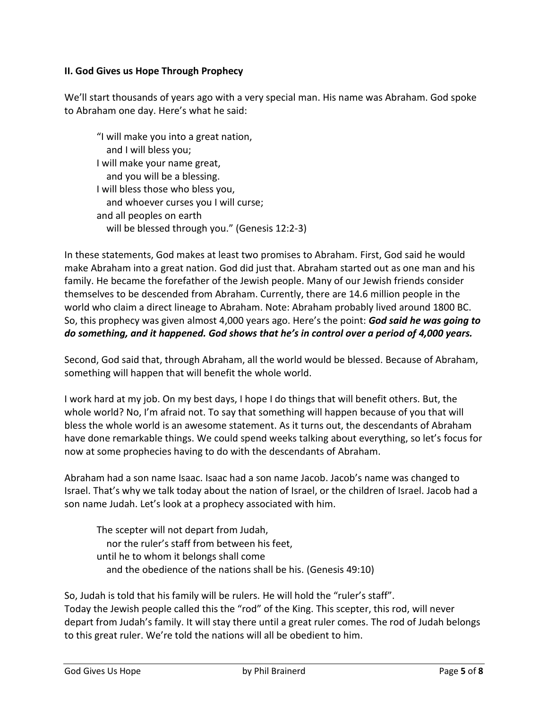#### **II. God Gives us Hope Through Prophecy**

We'll start thousands of years ago with a very special man. His name was Abraham. God spoke to Abraham one day. Here's what he said:

"I will make you into a great nation, and I will bless you; I will make your name great, and you will be a blessing. I will bless those who bless you, and whoever curses you I will curse; and all peoples on earth will be blessed through you." (Genesis 12:2-3)

In these statements, God makes at least two promises to Abraham. First, God said he would make Abraham into a great nation. God did just that. Abraham started out as one man and his family. He became the forefather of the Jewish people. Many of our Jewish friends consider themselves to be descended from Abraham. Currently, there are 14.6 million people in the world who claim a direct lineage to Abraham. Note: Abraham probably lived around 1800 BC. So, this prophecy was given almost 4,000 years ago. Here's the point: *God said he was going to do something, and it happened. God shows that he's in control over a period of 4,000 years.*

Second, God said that, through Abraham, all the world would be blessed. Because of Abraham, something will happen that will benefit the whole world.

I work hard at my job. On my best days, I hope I do things that will benefit others. But, the whole world? No, I'm afraid not. To say that something will happen because of you that will bless the whole world is an awesome statement. As it turns out, the descendants of Abraham have done remarkable things. We could spend weeks talking about everything, so let's focus for now at some prophecies having to do with the descendants of Abraham.

Abraham had a son name Isaac. Isaac had a son name Jacob. Jacob's name was changed to Israel. That's why we talk today about the nation of Israel, or the children of Israel. Jacob had a son name Judah. Let's look at a prophecy associated with him.

The scepter will not depart from Judah, nor the ruler's staff from between his feet, until he to whom it belongs shall come and the obedience of the nations shall be his. (Genesis 49:10)

So, Judah is told that his family will be rulers. He will hold the "ruler's staff". Today the Jewish people called this the "rod" of the King. This scepter, this rod, will never depart from Judah's family. It will stay there until a great ruler comes. The rod of Judah belongs to this great ruler. We're told the nations will all be obedient to him.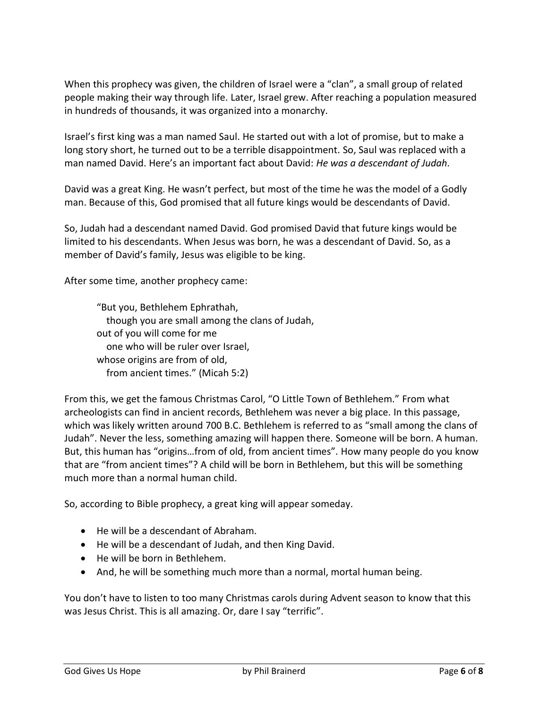When this prophecy was given, the children of Israel were a "clan", a small group of related people making their way through life. Later, Israel grew. After reaching a population measured in hundreds of thousands, it was organized into a monarchy.

Israel's first king was a man named Saul. He started out with a lot of promise, but to make a long story short, he turned out to be a terrible disappointment. So, Saul was replaced with a man named David. Here's an important fact about David: *He was a descendant of Judah.*

David was a great King. He wasn't perfect, but most of the time he was the model of a Godly man. Because of this, God promised that all future kings would be descendants of David.

So, Judah had a descendant named David. God promised David that future kings would be limited to his descendants. When Jesus was born, he was a descendant of David. So, as a member of David's family, Jesus was eligible to be king.

After some time, another prophecy came:

"But you, Bethlehem Ephrathah, though you are small among the clans of Judah, out of you will come for me one who will be ruler over Israel, whose origins are from of old, from ancient times." (Micah 5:2)

From this, we get the famous Christmas Carol, "O Little Town of Bethlehem." From what archeologists can find in ancient records, Bethlehem was never a big place. In this passage, which was likely written around 700 B.C. Bethlehem is referred to as "small among the clans of Judah". Never the less, something amazing will happen there. Someone will be born. A human. But, this human has "origins…from of old, from ancient times". How many people do you know that are "from ancient times"? A child will be born in Bethlehem, but this will be something much more than a normal human child.

So, according to Bible prophecy, a great king will appear someday.

- He will be a descendant of Abraham.
- He will be a descendant of Judah, and then King David.
- He will be born in Bethlehem.
- And, he will be something much more than a normal, mortal human being.

You don't have to listen to too many Christmas carols during Advent season to know that this was Jesus Christ. This is all amazing. Or, dare I say "terrific".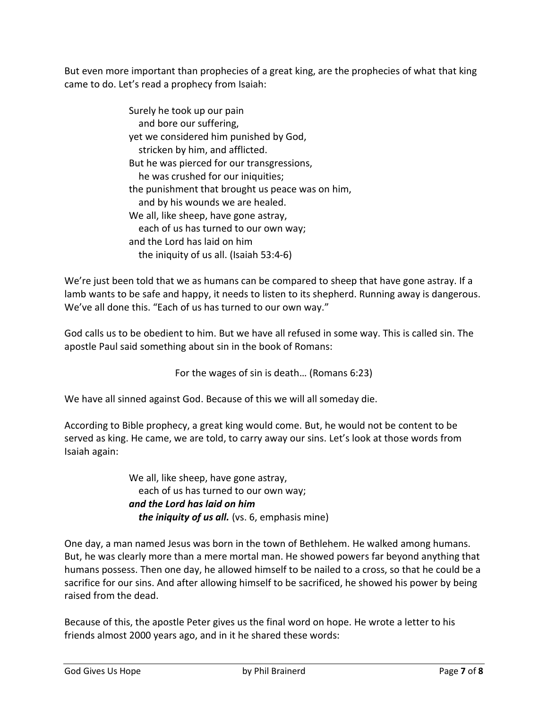But even more important than prophecies of a great king, are the prophecies of what that king came to do. Let's read a prophecy from Isaiah:

| Surely he took up our pain                       |
|--------------------------------------------------|
| and bore our suffering,                          |
| yet we considered him punished by God,           |
| stricken by him, and afflicted.                  |
| But he was pierced for our transgressions,       |
| he was crushed for our iniquities;               |
| the punishment that brought us peace was on him, |
| and by his wounds we are healed.                 |
| We all, like sheep, have gone astray,            |
| each of us has turned to our own way;            |
| and the Lord has laid on him                     |
| the iniquity of us all. (Isaiah 53:4-6)          |

We're just been told that we as humans can be compared to sheep that have gone astray. If a lamb wants to be safe and happy, it needs to listen to its shepherd. Running away is dangerous. We've all done this. "Each of us has turned to our own way."

God calls us to be obedient to him. But we have all refused in some way. This is called sin. The apostle Paul said something about sin in the book of Romans:

For the wages of sin is death… (Romans 6:23)

We have all sinned against God. Because of this we will all someday die.

According to Bible prophecy, a great king would come. But, he would not be content to be served as king. He came, we are told, to carry away our sins. Let's look at those words from Isaiah again:

> We all, like sheep, have gone astray, each of us has turned to our own way; *and the Lord has laid on him the iniquity of us all.* (vs. 6, emphasis mine)

One day, a man named Jesus was born in the town of Bethlehem. He walked among humans. But, he was clearly more than a mere mortal man. He showed powers far beyond anything that humans possess. Then one day, he allowed himself to be nailed to a cross, so that he could be a sacrifice for our sins. And after allowing himself to be sacrificed, he showed his power by being raised from the dead.

Because of this, the apostle Peter gives us the final word on hope. He wrote a letter to his friends almost 2000 years ago, and in it he shared these words: